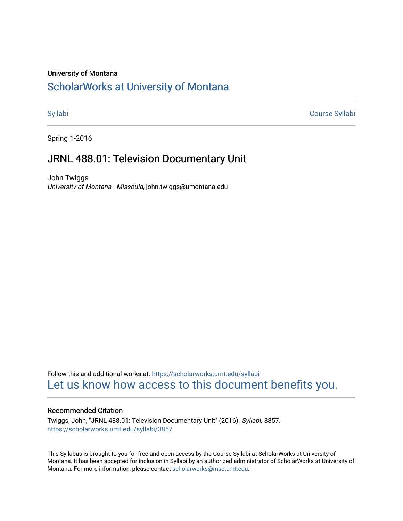#### University of Montana

# [ScholarWorks at University of Montana](https://scholarworks.umt.edu/)

[Syllabi](https://scholarworks.umt.edu/syllabi) [Course Syllabi](https://scholarworks.umt.edu/course_syllabi) 

Spring 1-2016

# JRNL 488.01: Television Documentary Unit

John Twiggs University of Montana - Missoula, john.twiggs@umontana.edu

Follow this and additional works at: [https://scholarworks.umt.edu/syllabi](https://scholarworks.umt.edu/syllabi?utm_source=scholarworks.umt.edu%2Fsyllabi%2F3857&utm_medium=PDF&utm_campaign=PDFCoverPages)  [Let us know how access to this document benefits you.](https://goo.gl/forms/s2rGfXOLzz71qgsB2) 

#### Recommended Citation

Twiggs, John, "JRNL 488.01: Television Documentary Unit" (2016). Syllabi. 3857. [https://scholarworks.umt.edu/syllabi/3857](https://scholarworks.umt.edu/syllabi/3857?utm_source=scholarworks.umt.edu%2Fsyllabi%2F3857&utm_medium=PDF&utm_campaign=PDFCoverPages)

This Syllabus is brought to you for free and open access by the Course Syllabi at ScholarWorks at University of Montana. It has been accepted for inclusion in Syllabi by an authorized administrator of ScholarWorks at University of Montana. For more information, please contact [scholarworks@mso.umt.edu.](mailto:scholarworks@mso.umt.edu)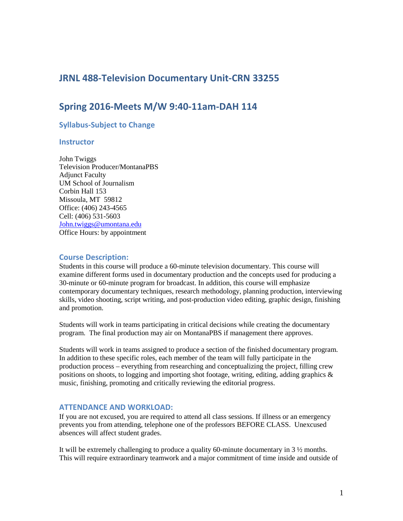# **JRNL 488-Television Documentary Unit-CRN 33255**

# **Spring 2016-Meets M/W 9:40-11am-DAH 114**

#### **Syllabus-Subject to Change**

#### **Instructor**

John Twiggs Television Producer/MontanaPBS Adjunct Faculty UM School of Journalism Corbin Hall 153 Missoula, MT 59812 Office: (406) 243-4565 Cell: (406) 531-5603 John.twiggs@umontana.edu Office Hours: by appointment

#### **Course Description:**

Students in this course will produce a 60-minute television documentary. This course will examine different forms used in documentary production and the concepts used for producing a 30-minute or 60-minute program for broadcast. In addition, this course will emphasize contemporary documentary techniques, research methodology, planning production, interviewing skills, video shooting, script writing, and post-production video editing, graphic design, finishing and promotion.

Students will work in teams participating in critical decisions while creating the documentary program. The final production may air on MontanaPBS if management there approves.

Students will work in teams assigned to produce a section of the finished documentary program. In addition to these specific roles, each member of the team will fully participate in the production process – everything from researching and conceptualizing the project, filling crew positions on shoots, to logging and importing shot footage, writing, editing, adding graphics  $\&$ music, finishing, promoting and critically reviewing the editorial progress.

#### **ATTENDANCE AND WORKLOAD:**

If you are not excused, you are required to attend all class sessions. If illness or an emergency prevents you from attending, telephone one of the professors BEFORE CLASS. Unexcused absences will affect student grades.

It will be extremely challenging to produce a quality 60-minute documentary in 3 ½ months. This will require extraordinary teamwork and a major commitment of time inside and outside of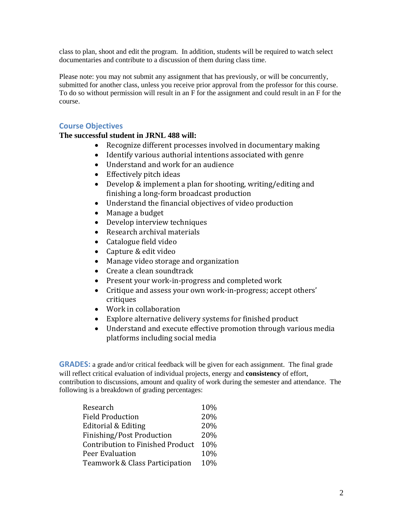class to plan, shoot and edit the program. In addition, students will be required to watch select documentaries and contribute to a discussion of them during class time.

Please note: you may not submit any assignment that has previously, or will be concurrently, submitted for another class, unless you receive prior approval from the professor for this course. To do so without permission will result in an F for the assignment and could result in an F for the course.

#### **Course Objectives**

#### **The successful student in JRNL 488 will:**

- Recognize different processes involved in documentary making
- Identify various authorial intentions associated with genre
- Understand and work for an audience
- Effectively pitch ideas
- Develop & implement a plan for shooting, writing/editing and finishing a long-form broadcast production
- Understand the financial objectives of video production
- Manage a budget
- Develop interview techniques
- Research archival materials
- Catalogue field video
- Capture & edit video
- Manage video storage and organization
- Create a clean soundtrack
- Present your work-in-progress and completed work
- Critique and assess your own work-in-progress; accept others' critiques
- Work in collaboration
- Explore alternative delivery systems for finished product
- Understand and execute effective promotion through various media platforms including social media

**GRADES:** a grade and/or critical feedback will be given for each assignment. The final grade will reflect critical evaluation of individual projects, energy and **consistency** of effort, contribution to discussions, amount and quality of work during the semester and attendance. The following is a breakdown of grading percentages:

| Research                                | 10% |
|-----------------------------------------|-----|
| <b>Field Production</b>                 | 20% |
| Editorial & Editing                     | 20% |
| Finishing/Post Production               | 20% |
| <b>Contribution to Finished Product</b> | 10% |
| Peer Evaluation                         | 10% |
| Teamwork & Class Participation          | 10% |
|                                         |     |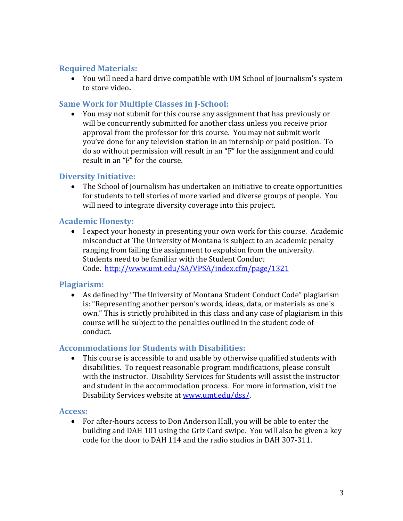# **Required Materials:**

• You will need a hard drive compatible with UM School of Journalism's system to store video**.** 

# **Same Work for Multiple Classes in J-School:**

• You may not submit for this course any assignment that has previously or will be concurrently submitted for another class unless you receive prior approval from the professor for this course. You may not submit work you've done for any television station in an internship or paid position. To do so without permission will result in an "F" for the assignment and could result in an "F" for the course.

# **Diversity Initiative:**

• The School of Journalism has undertaken an initiative to create opportunities for students to tell stories of more varied and diverse groups of people. You will need to integrate diversity coverage into this project.

# **Academic Honesty:**

• I expect your honesty in presenting your own work for this course. Academic misconduct at The University of Montana is subject to an academic penalty ranging from failing the assignment to expulsion from the university. Students need to be familiar with the Student Conduct Code.<http://www.umt.edu/SA/VPSA/index.cfm/page/1321>

# **Plagiarism:**

• As defined by "The University of Montana Student Conduct Code" plagiarism is: "Representing another person's words, ideas, data, or materials as one's own." This is strictly prohibited in this class and any case of plagiarism in this course will be subject to the penalties outlined in the student code of conduct.

# **Accommodations for Students with Disabilities:**

• This course is accessible to and usable by otherwise qualified students with disabilities. To request reasonable program modifications, please consult with the instructor. Disability Services for Students will assist the instructor and student in the accommodation process. For more information, visit the Disability Services website at [www.umt.edu/dss/.](http://www.umt.edu/dss/) 

#### **Access:**

• For after-hours access to Don Anderson Hall, you will be able to enter the building and DAH 101 using the Griz Card swipe. You will also be given a key code for the door to DAH 114 and the radio studios in DAH 307-311.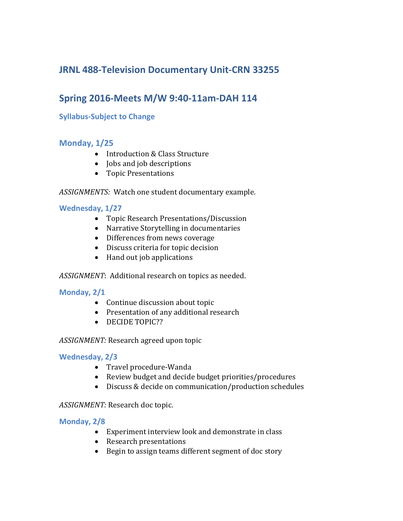# **JRNL 488-Television Documentary Unit-CRN 33255**

# **Spring 2016-Meets M/W 9:40-11am-DAH 114**

# **Syllabus-Subject to Change**

# **Monday, 1/25**

- Introduction & Class Structure
- **Jobs and job descriptions**
- Topic Presentations

*ASSIGNMENTS:* Watch one student documentary example.

#### **Wednesday, 1/27**

- Topic Research Presentations/Discussion
- Narrative Storytelling in documentaries
- Differences from news coverage
- Discuss criteria for topic decision
- Hand out job applications

*ASSIGNMENT*: Additional research on topics as needed.

#### **Monday, 2/1**

- Continue discussion about topic
- Presentation of any additional research
- DECIDE TOPIC??

#### *ASSIGNMENT:* Research agreed upon topic

#### **Wednesday, 2/3**

- Travel procedure-Wanda
- Review budget and decide budget priorities/procedures
- Discuss & decide on communication/production schedules

*ASSIGNMENT:* Research doc topic.

#### **Monday, 2/8**

- Experiment interview look and demonstrate in class
- Research presentations
- Begin to assign teams different segment of doc story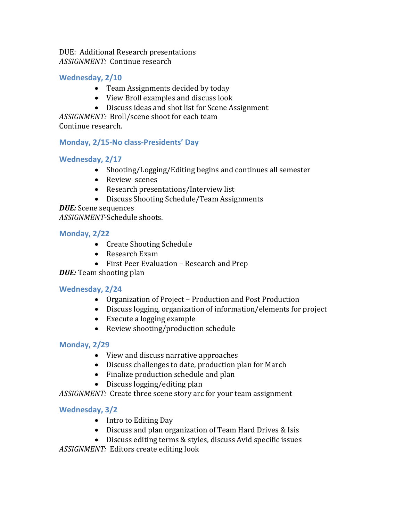DUE: Additional Research presentations *ASSIGNMENT:* Continue research

# **Wednesday, 2/10**

- Team Assignments decided by today
- View Broll examples and discuss look
- Discuss ideas and shot list for Scene Assignment

*ASSIGNMENT:* Broll/scene shoot for each team

Continue research.

#### **Monday, 2/15-No class-Presidents' Day**

#### **Wednesday, 2/17**

- Shooting/Logging/Editing begins and continues all semester
- Review scenes
- Research presentations/Interview list
- Discuss Shooting Schedule/Team Assignments

*DUE:* Scene sequences *ASSIGNMENT*-Schedule shoots.

#### **Monday, 2/22**

- Create Shooting Schedule
- Research Exam
- First Peer Evaluation Research and Prep

# *DUE:* Team shooting plan

#### **Wednesday, 2/24**

- Organization of Project Production and Post Production
- Discuss logging, organization of information/elements for project
- Execute a logging example
- Review shooting/production schedule

# **Monday, 2/29**

- View and discuss narrative approaches
- Discuss challenges to date, production plan for March
- Finalize production schedule and plan
- Discuss logging/editing plan

*ASSIGNMENT:* Create three scene story arc for your team assignment

# **Wednesday, 3/2**

- Intro to Editing Day
- Discuss and plan organization of Team Hard Drives & Isis
- Discuss editing terms & styles, discuss Avid specific issues

*ASSIGNMENT:* Editors create editing look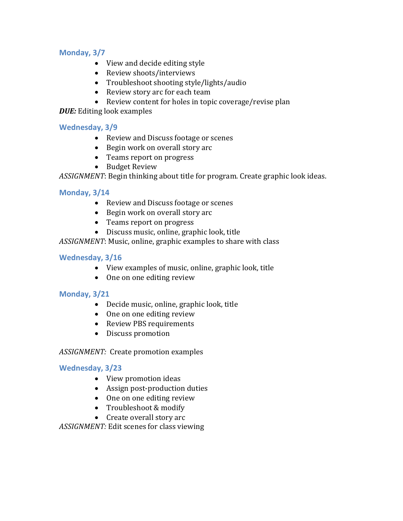# **Monday, 3/7**

- View and decide editing style
- Review shoots/interviews
- Troubleshoot shooting style/lights/audio
- Review story arc for each team
- Review content for holes in topic coverage/revise plan

*DUE:* Editing look examples

#### **Wednesday, 3/9**

- Review and Discuss footage or scenes
- Begin work on overall story arc
- Teams report on progress
- Budget Review

*ASSIGNMENT*: Begin thinking about title for program. Create graphic look ideas.

#### **Monday, 3/14**

- Review and Discuss footage or scenes
- Begin work on overall story arc
- Teams report on progress
- Discuss music, online, graphic look, title

*ASSIGNMENT*: Music, online, graphic examples to share with class

#### **Wednesday, 3/16**

- View examples of music, online, graphic look, title
- One on one editing review

#### **Monday, 3/21**

- Decide music, online, graphic look, title
- One on one editing review
- Review PBS requirements
- Discuss promotion

#### *ASSIGNMENT:* Create promotion examples

#### **Wednesday, 3/23**

- View promotion ideas
- Assign post-production duties
- One on one editing review
- Troubleshoot & modify
- Create overall story arc

*ASSIGNMENT:* Edit scenes for class viewing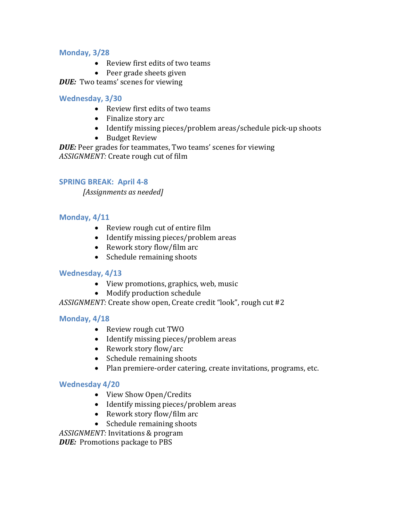#### **Monday, 3/28**

- Review first edits of two teams
- Peer grade sheets given

*DUE:* Two teams' scenes for viewing

#### **Wednesday, 3/30**

- Review first edits of two teams
- Finalize story arc
- Identify missing pieces/problem areas/schedule pick-up shoots
- Budget Review

*DUE:* Peer grades for teammates, Two teams' scenes for viewing *ASSIGNMENT:* Create rough cut of film

#### **SPRING BREAK: April 4-8**

*[Assignments as needed]*

# **Monday, 4/11**

- Review rough cut of entire film
- Identify missing pieces/problem areas
- Rework story flow/film arc
- Schedule remaining shoots

#### **Wednesday, 4/13**

- View promotions, graphics, web, music
- Modify production schedule

*ASSIGNMENT:* Create show open, Create credit "look", rough cut #2

#### **Monday, 4/18**

- Review rough cut TWO
- Identify missing pieces/problem areas
- Rework story flow/arc
- Schedule remaining shoots
- Plan premiere-order catering, create invitations, programs, etc.

#### **Wednesday 4/20**

- View Show Open/Credits
- Identify missing pieces/problem areas
- Rework story flow/film arc
- Schedule remaining shoots

*ASSIGNMENT:* Invitations & program

*DUE:* Promotions package to PBS